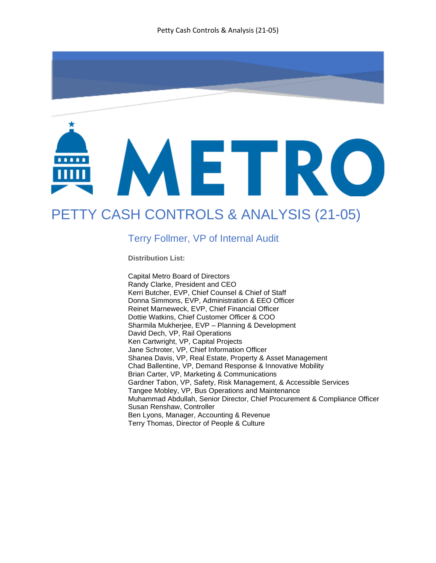

# PETTY CASH CONTROLS & ANALYSIS (21-05)

#### Terry Follmer, VP of Internal Audit

**Distribution List:** 

Capital Metro Board of Directors Randy Clarke, President and CEO Kerri Butcher, EVP, Chief Counsel & Chief of Staff Donna Simmons, EVP, Administration & EEO Officer Reinet Marneweck, EVP, Chief Financial Officer Dottie Watkins, Chief Customer Officer & COO Sharmila Mukherjee, EVP – Planning & Development David Dech, VP, Rail Operations Ken Cartwright, VP, Capital Projects Jane Schroter, VP, Chief Information Officer Shanea Davis, VP, Real Estate, Property & Asset Management Chad Ballentine, VP, Demand Response & Innovative Mobility Brian Carter, VP, Marketing & Communications Gardner Tabon, VP, Safety, Risk Management, & Accessible Services Tangee Mobley, VP, Bus Operations and Maintenance Muhammad Abdullah, Senior Director, Chief Procurement & Compliance Officer Susan Renshaw, Controller Ben Lyons, Manager, Accounting & Revenue Terry Thomas, Director of People & Culture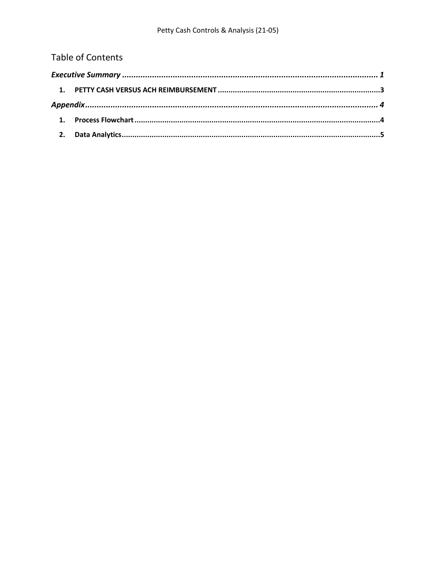# **Table of Contents**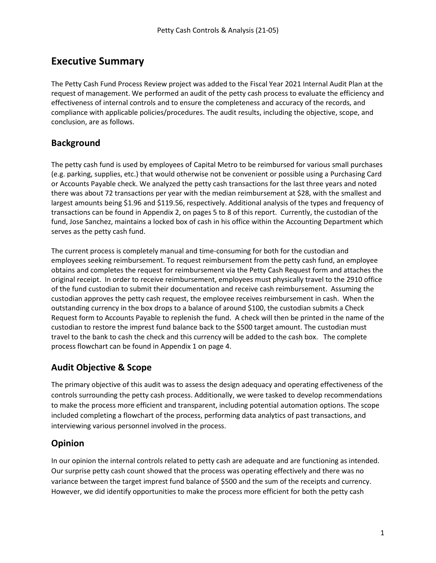## <span id="page-2-0"></span>**Executive Summary**

The Petty Cash Fund Process Review project was added to the Fiscal Year 2021 Internal Audit Plan at the request of management. We performed an audit of the petty cash process to evaluate the efficiency and effectiveness of internal controls and to ensure the completeness and accuracy of the records, and compliance with applicable policies/procedures. The audit results, including the objective, scope, and conclusion, are as follows.

### **Background**

The petty cash fund is used by employees of Capital Metro to be reimbursed for various small purchases (e.g. parking, supplies, etc.) that would otherwise not be convenient or possible using a Purchasing Card or Accounts Payable check. We analyzed the petty cash transactions for the last three years and noted there was about 72 transactions per year with the median reimbursement at \$28, with the smallest and largest amounts being \$1.96 and \$119.56, respectively. Additional analysis of the types and frequency of transactions can be found in Appendix 2, on pages 5 to 8 of this report. Currently, the custodian of the fund, Jose Sanchez, maintains a locked box of cash in his office within the Accounting Department which serves as the petty cash fund.

The current process is completely manual and time-consuming for both for the custodian and employees seeking reimbursement. To request reimbursement from the petty cash fund, an employee obtains and completes the request for reimbursement via the Petty Cash Request form and attaches the original receipt. In order to receive reimbursement, employees must physically travel to the 2910 office of the fund custodian to submit their documentation and receive cash reimbursement. Assuming the custodian approves the petty cash request, the employee receives reimbursement in cash. When the outstanding currency in the box drops to a balance of around \$100, the custodian submits a Check Request form to Accounts Payable to replenish the fund. A check will then be printed in the name of the custodian to restore the imprest fund balance back to the \$500 target amount. The custodian must travel to the bank to cash the check and this currency will be added to the cash box. The complete process flowchart can be found in Appendix 1 on page 4.

## **Audit Objective & Scope**

The primary objective of this audit was to assess the design adequacy and operating effectiveness of the controls surrounding the petty cash process. Additionally, we were tasked to develop recommendations to make the process more efficient and transparent, including potential automation options. The scope included completing a flowchart of the process, performing data analytics of past transactions, and interviewing various personnel involved in the process.

#### **Opinion**

In our opinion the internal controls related to petty cash are adequate and are functioning as intended. Our surprise petty cash count showed that the process was operating effectively and there was no variance between the target imprest fund balance of \$500 and the sum of the receipts and currency. However, we did identify opportunities to make the process more efficient for both the petty cash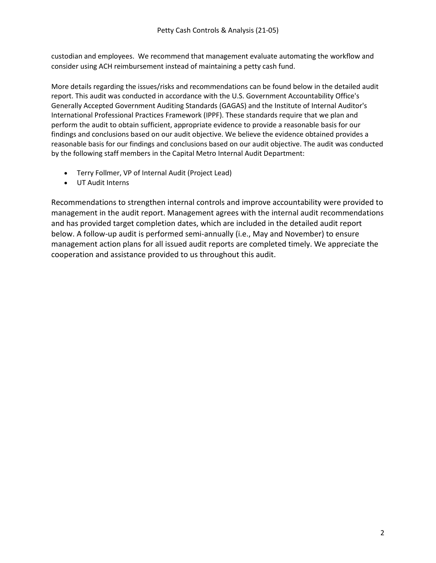custodian and employees. We recommend that management evaluate automating the workflow and consider using ACH reimbursement instead of maintaining a petty cash fund.

More details regarding the issues/risks and recommendations can be found below in the detailed audit report. This audit was conducted in accordance with the U.S. Government Accountability Office's Generally Accepted Government Auditing Standards (GAGAS) and the Institute of Internal Auditor's International Professional Practices Framework (IPPF). These standards require that we plan and perform the audit to obtain sufficient, appropriate evidence to provide a reasonable basis for our findings and conclusions based on our audit objective. We believe the evidence obtained provides a reasonable basis for our findings and conclusions based on our audit objective. The audit was conducted by the following staff members in the Capital Metro Internal Audit Department:

- Terry Follmer, VP of Internal Audit (Project Lead)
- UT Audit Interns

Recommendations to strengthen internal controls and improve accountability were provided to management in the audit report. Management agrees with the internal audit recommendations and has provided target completion dates, which are included in the detailed audit report below. A follow-up audit is performed semi-annually (i.e., May and November) to ensure management action plans for all issued audit reports are completed timely. We appreciate the cooperation and assistance provided to us throughout this audit.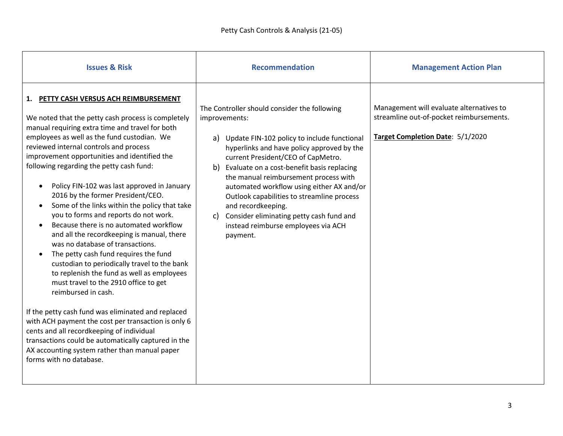<span id="page-4-0"></span>

| <b>Issues &amp; Risk</b>                                                                                                                                                                                                                                                                                                                                                                                                                                                                                                                                                                                                                                                                                                                                                                                                                                                                                                                                                                                                                                                                                                                           | <b>Recommendation</b>                                                                                                                                                                                                                                                                                                                                                                                                                                                                                               | <b>Management Action Plan</b>                                                                                            |
|----------------------------------------------------------------------------------------------------------------------------------------------------------------------------------------------------------------------------------------------------------------------------------------------------------------------------------------------------------------------------------------------------------------------------------------------------------------------------------------------------------------------------------------------------------------------------------------------------------------------------------------------------------------------------------------------------------------------------------------------------------------------------------------------------------------------------------------------------------------------------------------------------------------------------------------------------------------------------------------------------------------------------------------------------------------------------------------------------------------------------------------------------|---------------------------------------------------------------------------------------------------------------------------------------------------------------------------------------------------------------------------------------------------------------------------------------------------------------------------------------------------------------------------------------------------------------------------------------------------------------------------------------------------------------------|--------------------------------------------------------------------------------------------------------------------------|
| 1. PETTY CASH VERSUS ACH REIMBURSEMENT<br>We noted that the petty cash process is completely<br>manual requiring extra time and travel for both<br>employees as well as the fund custodian. We<br>reviewed internal controls and process<br>improvement opportunities and identified the<br>following regarding the petty cash fund:<br>Policy FIN-102 was last approved in January<br>2016 by the former President/CEO.<br>Some of the links within the policy that take<br>you to forms and reports do not work.<br>Because there is no automated workflow<br>and all the recordkeeping is manual, there<br>was no database of transactions.<br>The petty cash fund requires the fund<br>custodian to periodically travel to the bank<br>to replenish the fund as well as employees<br>must travel to the 2910 office to get<br>reimbursed in cash.<br>If the petty cash fund was eliminated and replaced<br>with ACH payment the cost per transaction is only 6<br>cents and all recordkeeping of individual<br>transactions could be automatically captured in the<br>AX accounting system rather than manual paper<br>forms with no database. | The Controller should consider the following<br>improvements:<br>a) Update FIN-102 policy to include functional<br>hyperlinks and have policy approved by the<br>current President/CEO of CapMetro.<br>b) Evaluate on a cost-benefit basis replacing<br>the manual reimbursement process with<br>automated workflow using either AX and/or<br>Outlook capabilities to streamline process<br>and recordkeeping.<br>Consider eliminating petty cash fund and<br>c)<br>instead reimburse employees via ACH<br>payment. | Management will evaluate alternatives to<br>streamline out-of-pocket reimbursements.<br>Target Completion Date: 5/1/2020 |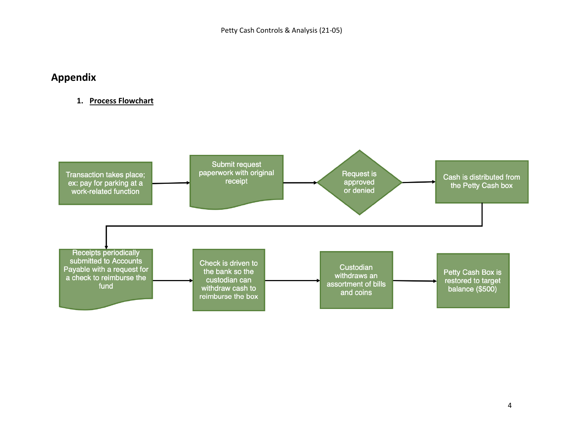## **Appendix**

#### **1. Process Flowchart**

<span id="page-5-1"></span><span id="page-5-0"></span>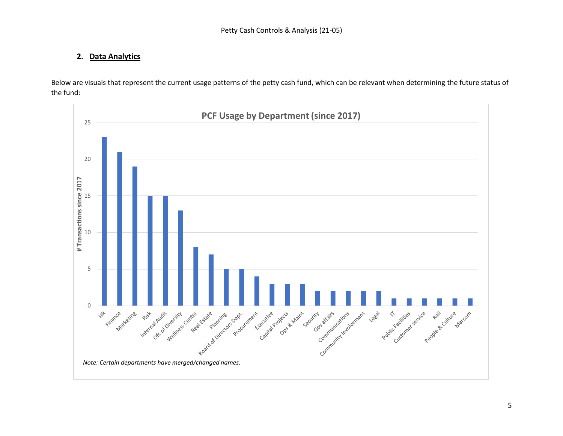#### **2. Data Analytics**

Below are visuals that represent the current usage patterns of the petty cash fund, which can be relevant when determining the future status of the fund:

<span id="page-6-0"></span>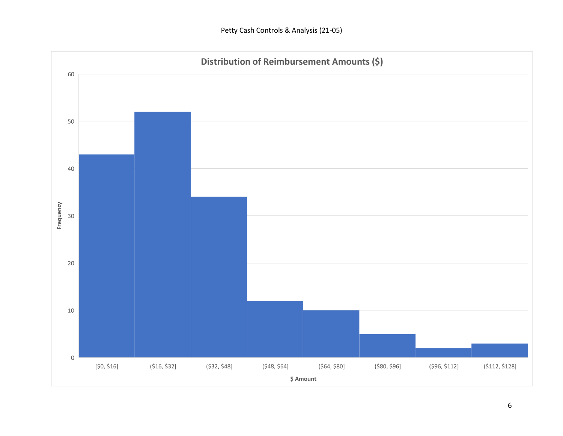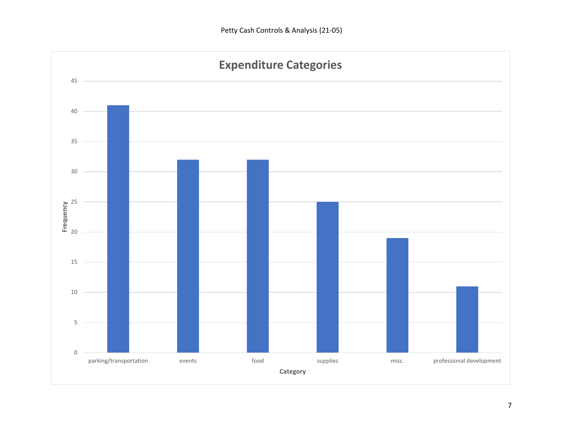